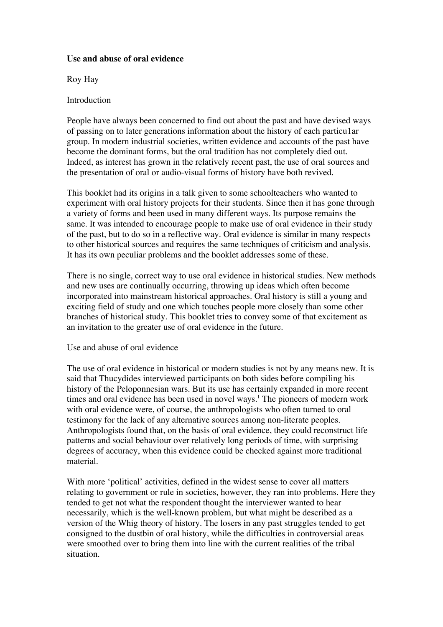#### **Use and abuse of oral evidence**

Roy Hay

## Introduction

People have always been concerned to find out about the past and have devised ways of passing on to later generations information about the history of each particu1ar group. In modern industrial societies, written evidence and accounts of the past have become the dominant forms, but the oral tradition has not completely died out. Indeed, as interest has grown in the relatively recent past, the use of oral sources and the presentation of oral or audio-visual forms of history have both revived.

This booklet had its origins in a talk given to some schoolteachers who wanted to experiment with oral history projects for their students. Since then it has gone through a variety of forms and been used in many different ways. Its purpose remains the same. It was intended to encourage people to make use of oral evidence in their study of the past, but to do so in a reflective way. Oral evidence is similar in many respects to other historical sources and requires the same techniques of criticism and analysis. It has its own peculiar problems and the booklet addresses some of these.

There is no single, correct way to use oral evidence in historical studies. New methods and new uses are continually occurring, throwing up ideas which often become incorporated into mainstream historical approaches. Oral history is still a young and exciting field of study and one which touches people more closely than some other branches of historical study. This booklet tries to convey some of that excitement as an invitation to the greater use of oral evidence in the future.

### Use and abuse of oral evidence

The use of oral evidence in historical or modern studies is not by any means new. It is said that Thucydides interviewed participants on both sides before compiling his history of the Peloponnesian wars. But its use has certainly expanded in more recent times and oral evidence has been used in novel ways.<sup>1</sup> The pioneers of modern work with oral evidence were, of course, the anthropologists who often turned to oral testimony for the lack of any alternative sources among non-literate peoples. Anthropologists found that, on the basis of oral evidence, they could reconstruct life patterns and social behaviour over relatively long periods of time, with surprising degrees of accuracy, when this evidence could be checked against more traditional material.

With more 'political' activities, defined in the widest sense to cover all matters relating to government or rule in societies, however, they ran into problems. Here they tended to get not what the respondent thought the interviewer wanted to hear necessarily, which is the well-known problem, but what might be described as a version of the Whig theory of history. The losers in any past struggles tended to get consigned to the dustbin of oral history, while the difficulties in controversial areas were smoothed over to bring them into line with the current realities of the tribal situation.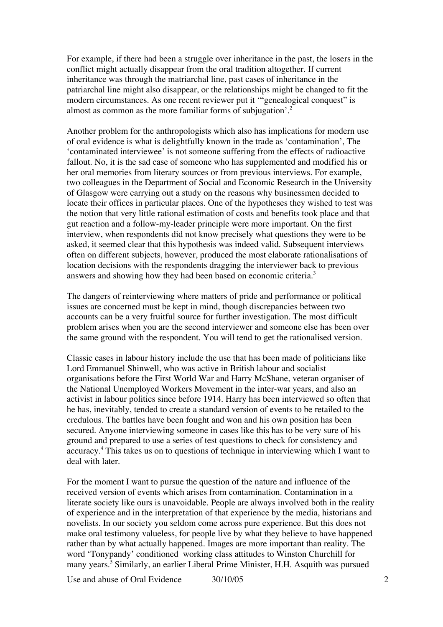For example, if there had been a struggle over inheritance in the past, the losers in the conflict might actually disappear from the oral tradition altogether. If current inheritance was through the matriarchal line, past cases of inheritance in the patriarchal line might also disappear, or the relationships might be changed to fit the modern circumstances. As one recent reviewer put it '"genealogical conquest" is almost as common as the more familiar forms of subjugation'.<sup>2</sup>

Another problem for the anthropologists which also has implications for modern use of oral evidence is what is delightfully known in the trade as 'contamination', The 'contaminated interviewee' is not someone suffering from the effects of radioactive fallout. No, it is the sad case of someone who has supplemented and modified his or her oral memories from literary sources or from previous interviews. For example, two colleagues in the Department of Social and Economic Research in the University of Glasgow were carrying out a study on the reasons why businessmen decided to locate their offices in particular places. One of the hypotheses they wished to test was the notion that very little rational estimation of costs and benefits took place and that gut reaction and a follow-my-leader principle were more important. On the first interview, when respondents did not know precisely what questions they were to be asked, it seemed clear that this hypothesis was indeed valid. Subsequent interviews often on different subjects, however, produced the most elaborate rationalisations of location decisions with the respondents dragging the interviewer back to previous answers and showing how they had been based on economic criteria.<sup>3</sup>

The dangers of reinterviewing where matters of pride and performance or political issues are concerned must be kept in mind, though discrepancies between two accounts can be a very fruitful source for further investigation. The most difficult problem arises when you are the second interviewer and someone else has been over the same ground with the respondent. You will tend to get the rationalised version.

Classic cases in labour history include the use that has been made of politicians like Lord Emmanuel Shinwell, who was active in British labour and socialist organisations before the First World War and Harry McShane, veteran organiser of the National Unemployed Workers Movement in the inter-war years, and also an activist in labour politics since before 1914. Harry has been interviewed so often that he has, inevitably, tended to create a standard version of events to be retailed to the credulous. The battles have been fought and won and his own position has been secured. Anyone interviewing someone in cases like this has to be very sure of his ground and prepared to use a series of test questions to check for consistency and accuracy.4 This takes us on to questions of technique in interviewing which I want to deal with later.

For the moment I want to pursue the question of the nature and influence of the received version of events which arises from contamination. Contamination in a literate society like ours is unavoidable. People are always involved both in the reality of experience and in the interpretation of that experience by the media, historians and novelists. In our society you seldom come across pure experience. But this does not make oral testimony valueless, for people live by what they believe to have happened rather than by what actually happened. Images are more important than reality. The word 'Tonypandy' conditioned working class attitudes to Winston Churchill for many years.<sup>5</sup> Similarly, an earlier Liberal Prime Minister, H.H. Asquith was pursued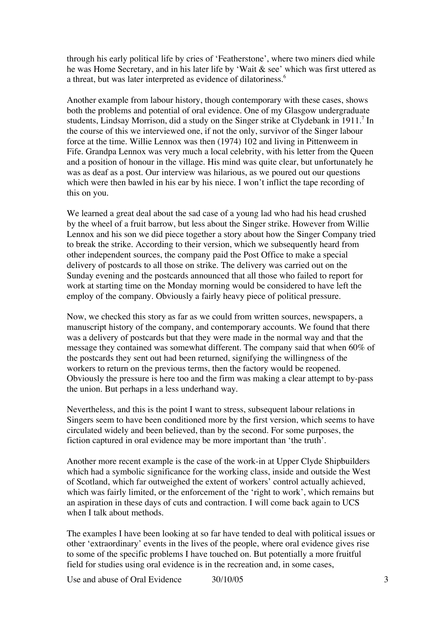through his early political life by cries of 'Featherstone', where two miners died while he was Home Secretary, and in his later life by 'Wait & see' which was first uttered as a threat, but was later interpreted as evidence of dilatoriness.<sup>6</sup>

Another example from labour history, though contemporary with these cases, shows both the problems and potential of oral evidence. One of my Glasgow undergraduate students, Lindsay Morrison, did a study on the Singer strike at Clydebank in 1911.<sup>7</sup> In the course of this we interviewed one, if not the only, survivor of the Singer labour force at the time. Willie Lennox was then (1974) 102 and living in Pittenweem in Fife. Grandpa Lennox was very much a local celebrity, with his letter from the Queen and a position of honour in the village. His mind was quite clear, but unfortunately he was as deaf as a post. Our interview was hilarious, as we poured out our questions which were then bawled in his ear by his niece. I won't inflict the tape recording of this on you.

We learned a great deal about the sad case of a young lad who had his head crushed by the wheel of a fruit barrow, but less about the Singer strike. However from Willie Lennox and his son we did piece together a story about how the Singer Company tried to break the strike. According to their version, which we subsequently heard from other independent sources, the company paid the Post Office to make a special delivery of postcards to all those on strike. The delivery was carried out on the Sunday evening and the postcards announced that all those who failed to report for work at starting time on the Monday morning would be considered to have left the employ of the company. Obviously a fairly heavy piece of political pressure.

Now, we checked this story as far as we could from written sources, newspapers, a manuscript history of the company, and contemporary accounts. We found that there was a delivery of postcards but that they were made in the normal way and that the message they contained was somewhat different. The company said that when 60% of the postcards they sent out had been returned, signifying the willingness of the workers to return on the previous terms, then the factory would be reopened. Obviously the pressure is here too and the firm was making a clear attempt to by-pass the union. But perhaps in a less underhand way.

Nevertheless, and this is the point I want to stress, subsequent labour relations in Singers seem to have been conditioned more by the first version, which seems to have circulated widely and been believed, than by the second. For some purposes, the fiction captured in oral evidence may be more important than 'the truth'.

Another more recent example is the case of the work-in at Upper Clyde Shipbuilders which had a symbolic significance for the working class, inside and outside the West of Scotland, which far outweighed the extent of workers' control actually achieved, which was fairly limited, or the enforcement of the 'right to work', which remains but an aspiration in these days of cuts and contraction. I will come back again to UCS when I talk about methods.

The examples I have been looking at so far have tended to deal with political issues or other 'extraordinary' events in the lives of the people, where oral evidence gives rise to some of the specific problems I have touched on. But potentially a more fruitful field for studies using oral evidence is in the recreation and, in some cases,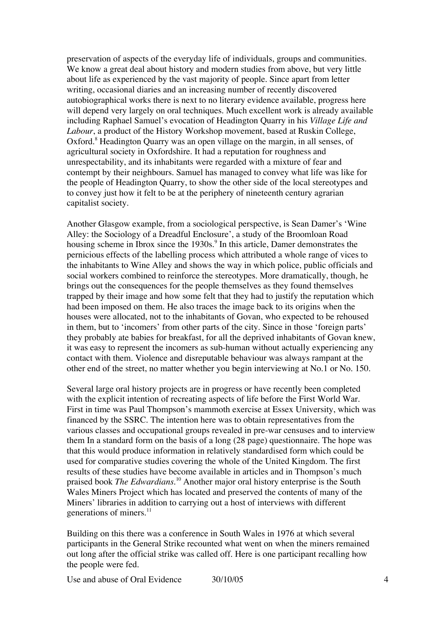preservation of aspects of the everyday life of individuals, groups and communities. We know a great deal about history and modern studies from above, but very little about life as experienced by the vast majority of people. Since apart from letter writing, occasional diaries and an increasing number of recently discovered autobiographical works there is next to no literary evidence available, progress here will depend very largely on oral techniques. Much excellent work is already available including Raphael Samuel's evocation of Headington Quarry in his *Village Life and Labour*, a product of the History Workshop movement, based at Ruskin College, Oxford.<sup>8</sup> Headington Quarry was an open village on the margin, in all senses, of agricultural society in Oxfordshire. It had a reputation for roughness and unrespectability, and its inhabitants were regarded with a mixture of fear and contempt by their neighbours. Samuel has managed to convey what life was like for the people of Headington Quarry, to show the other side of the local stereotypes and to convey just how it felt to be at the periphery of nineteenth century agrarian capitalist society.

Another Glasgow example, from a sociological perspective, is Sean Damer's 'Wine Alley: the Sociology of a Dreadful Enclosure', a study of the Broomloan Road housing scheme in Ibrox since the 1930s.<sup>9</sup> In this article, Damer demonstrates the pernicious effects of the labelling process which attributed a whole range of vices to the inhabitants to Wine Alley and shows the way in which police, public officials and social workers combined to reinforce the stereotypes. More dramatically, though, he brings out the consequences for the people themselves as they found themselves trapped by their image and how some felt that they had to justify the reputation which had been imposed on them. He also traces the image back to its origins when the houses were allocated, not to the inhabitants of Govan, who expected to be rehoused in them, but to 'incomers' from other parts of the city. Since in those 'foreign parts' they probably ate babies for breakfast, for all the deprived inhabitants of Govan knew, it was easy to represent the incomers as sub-human without actually experiencing any contact with them. Violence and disreputable behaviour was always rampant at the other end of the street, no matter whether you begin interviewing at No.1 or No. 150.

Several large oral history projects are in progress or have recently been completed with the explicit intention of recreating aspects of life before the First World War. First in time was Paul Thompson's mammoth exercise at Essex University, which was financed by the SSRC. The intention here was to obtain representatives from the various classes and occupational groups revealed in pre-war censuses and to interview them In a standard form on the basis of a long (28 page) questionnaire. The hope was that this would produce information in relatively standardised form which could be used for comparative studies covering the whole of the United Kingdom. The first results of these studies have become available in articles and in Thompson's much praised book *The Edwardians*. 10 Another major oral history enterprise is the South Wales Miners Project which has located and preserved the contents of many of the Miners' libraries in addition to carrying out a host of interviews with different generations of miners.<sup>11</sup>

Building on this there was a conference in South Wales in 1976 at which several participants in the General Strike recounted what went on when the miners remained out long after the official strike was called off. Here is one participant recalling how the people were fed.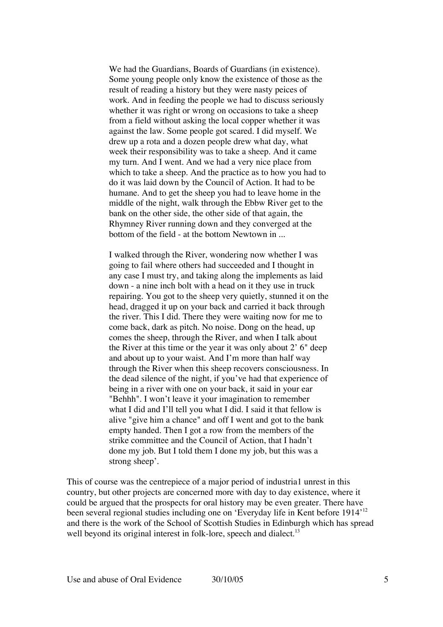We had the Guardians, Boards of Guardians (in existence). Some young people only know the existence of those as the result of reading a history but they were nasty peices of work. And in feeding the people we had to discuss seriously whether it was right or wrong on occasions to take a sheep from a field without asking the local copper whether it was against the law. Some people got scared. I did myself. We drew up a rota and a dozen people drew what day, what week their responsibility was to take a sheep. And it came my turn. And I went. And we had a very nice place from which to take a sheep. And the practice as to how you had to do it was laid down by the Council of Action. It had to be humane. And to get the sheep you had to leave home in the middle of the night, walk through the Ebbw River get to the bank on the other side, the other side of that again, the Rhymney River running down and they converged at the bottom of the field - at the bottom Newtown in ...

I walked through the River, wondering now whether I was going to fail where others had succeeded and I thought in any case I must try, and taking along the implements as laid down - a nine inch bolt with a head on it they use in truck repairing. You got to the sheep very quietly, stunned it on the head, dragged it up on your back and carried it back through the river. This I did. There they were waiting now for me to come back, dark as pitch. No noise. Dong on the head, up comes the sheep, through the River, and when I talk about the River at this time or the year it was only about 2' 6" deep and about up to your waist. And I'm more than half way through the River when this sheep recovers consciousness. In the dead silence of the night, if you've had that experience of being in a river with one on your back, it said in your ear "Behhh". I won't leave it your imagination to remember what I did and I'll tell you what I did. I said it that fellow is alive "give him a chance" and off I went and got to the bank empty handed. Then I got a row from the members of the strike committee and the Council of Action, that I hadn't done my job. But I told them I done my job, but this was a strong sheep'.

This of course was the centrepiece of a major period of industria1 unrest in this country, but other projects are concerned more with day to day existence, where it could be argued that the prospects for oral history may be even greater. There have been several regional studies including one on 'Everyday life in Kent before 1914'12 and there is the work of the School of Scottish Studies in Edinburgh which has spread well beyond its original interest in folk-lore, speech and dialect.<sup>13</sup>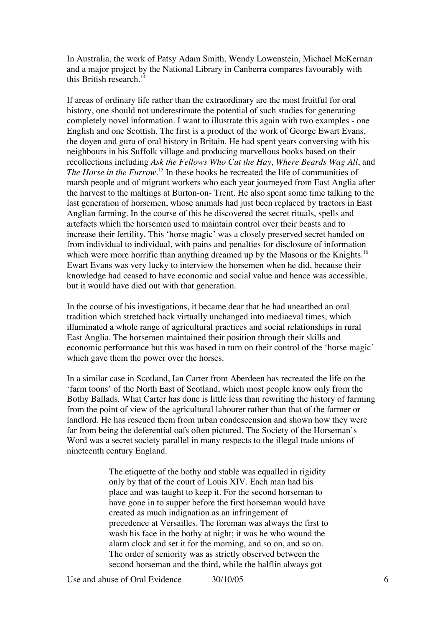In Australia, the work of Patsy Adam Smith, Wendy Lowenstein, Michael McKernan and a major project by the National Library in Canberra compares favourably with this British research. $14$ 

If areas of ordinary life rather than the extraordinary are the most fruitful for oral history, one should not underestimate the potential of such studies for generating completely novel information. I want to illustrate this again with two examples - one English and one Scottish. The first is a product of the work of George Ewart Evans, the doyen and guru of oral history in Britain. He had spent years conversing with his neighbours in his Suffolk village and producing marvellous books based on their recollections including *Ask the Fellows Who Cut the Hay*, *Where Beards Wag All*, and The Horse in the Furrow.<sup>15</sup> In these books he recreated the life of communities of marsh people and of migrant workers who each year journeyed from East Anglia after the harvest to the maltings at Burton-on- Trent. He also spent some time talking to the last generation of horsemen, whose animals had just been replaced by tractors in East Anglian farming. In the course of this he discovered the secret rituals, spells and artefacts which the horsemen used to maintain control over their beasts and to increase their fertility. This 'horse magic' was a closely preserved secret handed on from individual to individual, with pains and penalties for disclosure of information which were more horrific than anything dreamed up by the Masons or the Knights.<sup>16</sup> Ewart Evans was very lucky to interview the horsemen when he did, because their knowledge had ceased to have economic and social value and hence was accessible, but it would have died out with that generation.

In the course of his investigations, it became dear that he had unearthed an oral tradition which stretched back virtually unchanged into mediaeval times, which illuminated a whole range of agricultural practices and social relationships in rural East Anglia. The horsemen maintained their position through their skills and economic performance but this was based in turn on their control of the 'horse magic' which gave them the power over the horses.

In a similar case in Scotland, Ian Carter from Aberdeen has recreated the life on the 'farm toons' of the North East of Scotland, which most people know only from the Bothy Ballads. What Carter has done is little less than rewriting the history of farming from the point of view of the agricultural labourer rather than that of the farmer or landlord. He has rescued them from urban condescension and shown how they were far from being the deferential oafs often pictured. The Society of the Horseman's Word was a secret society parallel in many respects to the illegal trade unions of nineteenth century England.

> The etiquette of the bothy and stable was equalled in rigidity only by that of the court of Louis XIV. Each man had his place and was taught to keep it. For the second horseman to have gone in to supper before the first horseman would have created as much indignation as an infringement of precedence at Versailles. The foreman was always the first to wash his face in the bothy at night; it was he who wound the alarm clock and set it for the morning, and so on, and so on. The order of seniority was as strictly observed between the second horseman and the third, while the halflin always got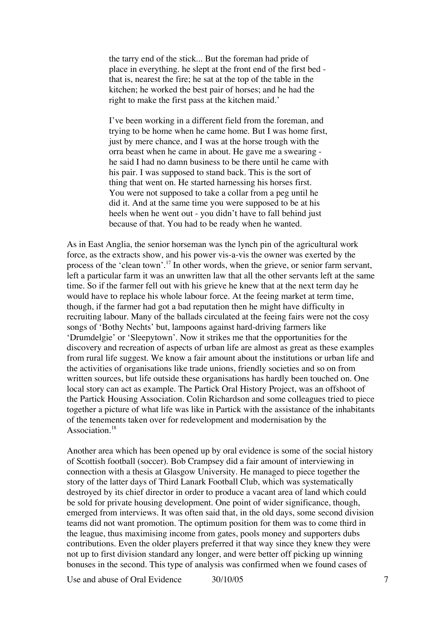the tarry end of the stick... But the foreman had pride of place in everything. he slept at the front end of the first bed that is, nearest the fire; he sat at the top of the table in the kitchen; he worked the best pair of horses; and he had the right to make the first pass at the kitchen maid.'

I've been working in a different field from the foreman, and trying to be home when he came home. But I was home first, just by mere chance, and I was at the horse trough with the orra beast when he came in about. He gave me a swearing he said I had no damn business to be there until he came with his pair. I was supposed to stand back. This is the sort of thing that went on. He started harnessing his horses first. You were not supposed to take a collar from a peg until he did it. And at the same time you were supposed to be at his heels when he went out - you didn't have to fall behind just because of that. You had to be ready when he wanted.

As in East Anglia, the senior horseman was the lynch pin of the agricultural work force, as the extracts show, and his power vis-a-vis the owner was exerted by the process of the 'clean town'.<sup>17</sup> In other words, when the grieve, or senior farm servant, left a particular farm it was an unwritten law that all the other servants left at the same time. So if the farmer fell out with his grieve he knew that at the next term day he would have to replace his whole labour force. At the feeing market at term time, though, if the farmer had got a bad reputation then he might have difficulty in recruiting labour. Many of the ballads circulated at the feeing fairs were not the cosy songs of 'Bothy Nechts' but, lampoons against hard-driving farmers like 'Drumdelgie' or 'Sleepytown'. Now it strikes me that the opportunities for the discovery and recreation of aspects of urban life are almost as great as these examples from rural life suggest. We know a fair amount about the institutions or urban life and the activities of organisations like trade unions, friendly societies and so on from written sources, but life outside these organisations has hardly been touched on. One local story can act as example. The Partick Oral History Project, was an offshoot of the Partick Housing Association. Colin Richardson and some colleagues tried to piece together a picture of what life was like in Partick with the assistance of the inhabitants of the tenements taken over for redevelopment and modernisation by the Association.<sup>18</sup>

Another area which has been opened up by oral evidence is some of the social history of Scottish football (soccer). Bob Crampsey did a fair amount of interviewing in connection with a thesis at Glasgow University. He managed to piece together the story of the latter days of Third Lanark Football Club, which was systematically destroyed by its chief director in order to produce a vacant area of land which could be sold for private housing development. One point of wider significance, though, emerged from interviews. It was often said that, in the old days, some second division teams did not want promotion. The optimum position for them was to come third in the league, thus maximising income from gates, pools money and supporters dubs contributions. Even the older players preferred it that way since they knew they were not up to first division standard any longer, and were better off picking up winning bonuses in the second. This type of analysis was confirmed when we found cases of

Use and abuse of Oral Evidence  $\frac{30}{10}{05}$  7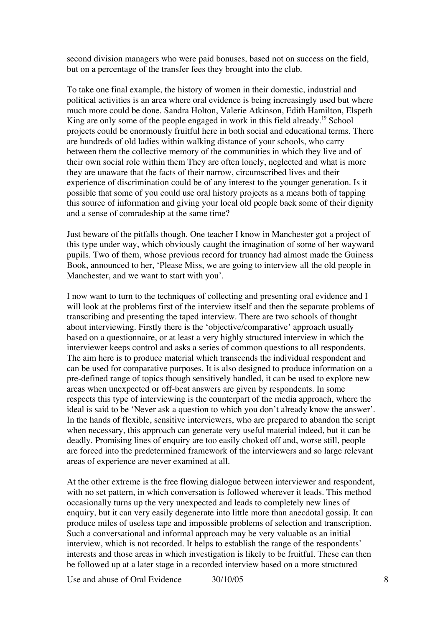second division managers who were paid bonuses, based not on success on the field, but on a percentage of the transfer fees they brought into the club.

To take one final example, the history of women in their domestic, industrial and political activities is an area where oral evidence is being increasingly used but where much more could be done. Sandra Holton, Valerie Atkinson, Edith Hamilton, Elspeth King are only some of the people engaged in work in this field already.<sup>19</sup> School projects could be enormously fruitful here in both social and educational terms. There are hundreds of old ladies within walking distance of your schools, who carry between them the collective memory of the communities in which they live and of their own social role within them They are often lonely, neglected and what is more they are unaware that the facts of their narrow, circumscribed lives and their experience of discrimination could be of any interest to the younger generation. Is it possible that some of you could use oral history projects as a means both of tapping this source of information and giving your local old people back some of their dignity and a sense of comradeship at the same time?

Just beware of the pitfalls though. One teacher I know in Manchester got a project of this type under way, which obviously caught the imagination of some of her wayward pupils. Two of them, whose previous record for truancy had almost made the Guiness Book, announced to her, 'Please Miss, we are going to interview all the old people in Manchester, and we want to start with you'.

I now want to turn to the techniques of collecting and presenting oral evidence and I will look at the problems first of the interview itself and then the separate problems of transcribing and presenting the taped interview. There are two schools of thought about interviewing. Firstly there is the 'objective/comparative' approach usually based on a questionnaire, or at least a very highly structured interview in which the interviewer keeps control and asks a series of common questions to all respondents. The aim here is to produce material which transcends the individual respondent and can be used for comparative purposes. It is also designed to produce information on a pre-defined range of topics though sensitively handled, it can be used to explore new areas when unexpected or off-beat answers are given by respondents. In some respects this type of interviewing is the counterpart of the media approach, where the ideal is said to be 'Never ask a question to which you don't already know the answer'. In the hands of flexible, sensitive interviewers, who are prepared to abandon the script when necessary, this approach can generate very useful material indeed, but it can be deadly. Promising lines of enquiry are too easily choked off and, worse still, people are forced into the predetermined framework of the interviewers and so large relevant areas of experience are never examined at all.

At the other extreme is the free flowing dialogue between interviewer and respondent, with no set pattern, in which conversation is followed wherever it leads. This method occasionally turns up the very unexpected and leads to completely new lines of enquiry, but it can very easily degenerate into little more than anecdotal gossip. It can produce miles of useless tape and impossible problems of selection and transcription. Such a conversational and informal approach may be very valuable as an initial interview, which is not recorded. It helps to establish the range of the respondents' interests and those areas in which investigation is likely to be fruitful. These can then be followed up at a later stage in a recorded interview based on a more structured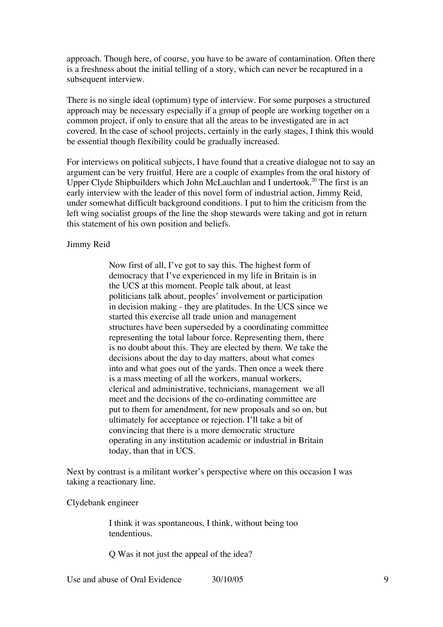approach. Though here, of course, you have to be aware of contamination. Often there is a freshness about the initial telling of a story, which can never be recaptured in a subsequent interview.

There is no single ideal (optimum) type of interview. For some purposes a structured approach may be necessary especially if a group of people are working together on a common project, if only to ensure that all the areas to be investigated are in act covered. In the case of school projects, certainly in the early stages, I think this would be essential though flexibility could be gradually increased.

For interviews on political subjects, I have found that a creative dialogue not to say an argument can be very fruitful. Here are a couple of examples from the oral history of Upper Clyde Shipbuilders which John McLauchlan and I undertook.<sup>20</sup> The first is an early interview with the leader of this novel form of industrial action, Jimmy Reid, under somewhat difficult background conditions. I put to him the criticism from the left wing socialist groups of the line the shop stewards were taking and got in return this statement of his own position and beliefs.

Jimmy Reid

Now first of all, I've got to say this. The highest form of democracy that I've experienced in my life in Britain is in the UCS at this moment. People talk about, at least politicians talk about, peoples' involvement or participation in decision making - they are platitudes. In the UCS since we started this exercise all trade union and management structures have been superseded by a coordinating committee representing the total labour force. Representing them, there is no doubt about this. They are elected by them. We take the decisions about the day to day matters, about what comes into and what goes out of the yards. Then once a week there is a mass meeting of all the workers, manual workers, clerical and administrative, technicians, management we all meet and the decisions of the co-ordinating committee are put to them for amendment, for new proposals and so on, but ultimately for acceptance or rejection. I'll take a bit of convincing that there is a more democratic structure operating in any institution academic or industrial in Britain today, than that in UCS.

Next by contrast is a militant worker's perspective where on this occasion I was taking a reactionary line.

Clydebank engineer

I think it was spontaneous, I think, without being too tendentious.

Q Was it not just the appeal of the idea?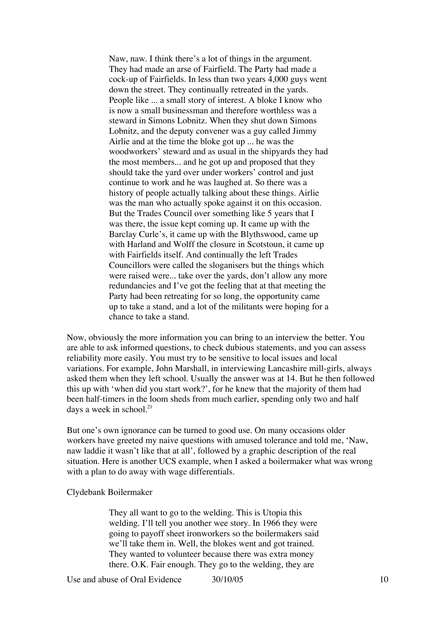Naw, naw. I think there's a lot of things in the argument. They had made an arse of Fairfield. The Party had made a cock-up of Fairfields. In less than two years 4,000 guys went down the street. They continually retreated in the yards. People like ... a small story of interest. A bloke I know who is now a small businessman and therefore worthless was a steward in Simons Lobnitz. When they shut down Simons Lobnitz, and the deputy convener was a guy called Jimmy Airlie and at the time the bloke got up ... he was the woodworkers' steward and as usual in the shipyards they had the most members... and he got up and proposed that they should take the yard over under workers' control and just continue to work and he was laughed at. So there was a history of people actually talking about these things. Airlie was the man who actually spoke against it on this occasion. But the Trades Council over something like 5 years that I was there, the issue kept coming up. It came up with the Barclay Curle's, it came up with the Blythswood, came up with Harland and Wolff the closure in Scotstoun, it came up with Fairfields itself. And continually the left Trades Councillors were called the sloganisers but the things which were raised were... take over the yards, don't allow any more redundancies and I've got the feeling that at that meeting the Party had been retreating for so long, the opportunity came up to take a stand, and a lot of the militants were hoping for a chance to take a stand.

Now, obviously the more information you can bring to an interview the better. You are able to ask informed questions, to check dubious statements, and you can assess reliability more easily. You must try to be sensitive to local issues and local variations. For example, John Marshall, in interviewing Lancashire mill-girls, always asked them when they left school. Usually the answer was at 14. But he then followed this up with 'when did you start work?', for he knew that the majority of them had been half-timers in the loom sheds from much earlier, spending only two and half days a week in school. $^{21}$ 

But one's own ignorance can be turned to good use. On many occasions older workers have greeted my naive questions with amused tolerance and told me, 'Naw, naw laddie it wasn't like that at all', followed by a graphic description of the real situation. Here is another UCS example, when I asked a boilermaker what was wrong with a plan to do away with wage differentials.

#### Clydebank Boilermaker

They all want to go to the welding. This is Utopia this welding. I'll tell you another wee story. In 1966 they were going to payoff sheet ironworkers so the boilermakers said we'll take them in. Well, the blokes went and got trained. They wanted to volunteer because there was extra money there. O.K. Fair enough. They go to the welding, they are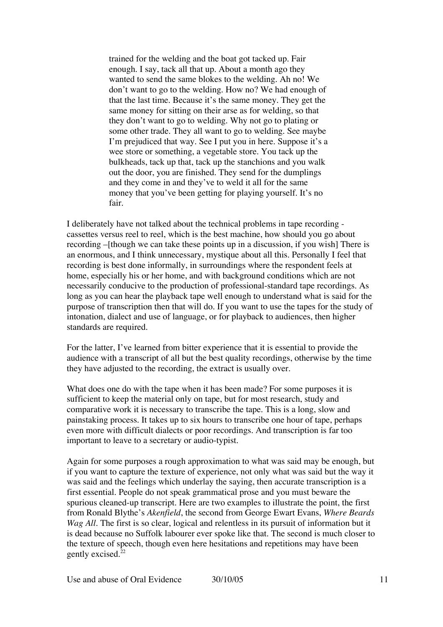trained for the welding and the boat got tacked up. Fair enough. I say, tack all that up. About a month ago they wanted to send the same blokes to the welding. Ah no! We don't want to go to the welding. How no? We had enough of that the last time. Because it's the same money. They get the same money for sitting on their arse as for welding, so that they don't want to go to welding. Why not go to plating or some other trade. They all want to go to welding. See maybe I'm prejudiced that way. See I put you in here. Suppose it's a wee store or something, a vegetable store. You tack up the bulkheads, tack up that, tack up the stanchions and you walk out the door, you are finished. They send for the dumplings and they come in and they've to weld it all for the same money that you've been getting for playing yourself. It's no fair.

I deliberately have not talked about the technical problems in tape recording cassettes versus reel to reel, which is the best machine, how should you go about recording –[though we can take these points up in a discussion, if you wish] There is an enormous, and I think unnecessary, mystique about all this. Personally I feel that recording is best done informally, in surroundings where the respondent feels at home, especially his or her home, and with background conditions which are not necessarily conducive to the production of professional-standard tape recordings. As long as you can hear the playback tape well enough to understand what is said for the purpose of transcription then that will do. If you want to use the tapes for the study of intonation, dialect and use of language, or for playback to audiences, then higher standards are required.

For the latter, I've learned from bitter experience that it is essential to provide the audience with a transcript of all but the best quality recordings, otherwise by the time they have adjusted to the recording, the extract is usually over.

What does one do with the tape when it has been made? For some purposes it is sufficient to keep the material only on tape, but for most research, study and comparative work it is necessary to transcribe the tape. This is a long, slow and painstaking process. It takes up to six hours to transcribe one hour of tape, perhaps even more with difficult dialects or poor recordings. And transcription is far too important to leave to a secretary or audio-typist.

Again for some purposes a rough approximation to what was said may be enough, but if you want to capture the texture of experience, not only what was said but the way it was said and the feelings which underlay the saying, then accurate transcription is a first essential. People do not speak grammatical prose and you must beware the spurious cleaned-up transcript. Here are two examples to illustrate the point, the first from Ronald Blythe's *Akenfield*, the second from George Ewart Evans, *Where Beards Wag All*. The first is so clear, logical and relentless in its pursuit of information but it is dead because no Suffolk labourer ever spoke like that. The second is much closer to the texture of speech, though even here hesitations and repetitions may have been gently excised.<sup>22</sup>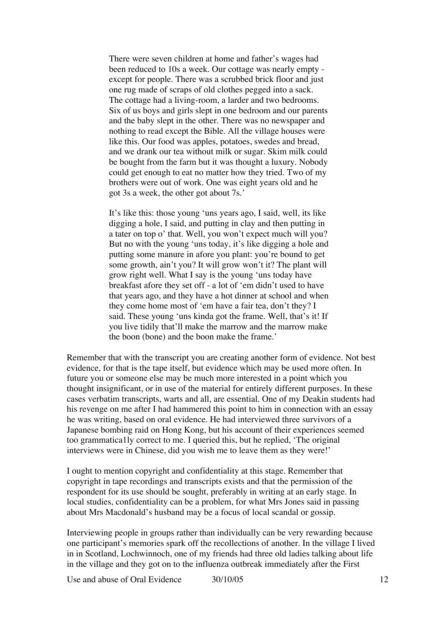There were seven children at home and father's wages had been reduced to 10s a week. Our cottage was nearly empty except for people. There was a scrubbed brick floor and just one rug made of scraps of old clothes pegged into a sack. The cottage had a living-room, a larder and two bedrooms. Six of us boys and girls slept in one bedroom and our parents and the baby slept in the other. There was no newspaper and nothing to read except the Bible. All the village houses were like this. Our food was apples, potatoes, swedes and bread, and we drank our tea without milk or sugar. Skim milk could be bought from the farm but it was thought a luxury. Nobody could get enough to eat no matter how they tried. Two of my brothers were out of work. One was eight years old and he got 3s a week, the other got about 7s.'

It's like this: those young 'uns years ago, I said, well, its like digging a hole, I said, and putting in clay and then putting in a tater on top o' that. Well, you won't expect much will you? But no with the young 'uns today, it's like digging a hole and putting some manure in afore you plant: you're bound to get some growth, ain't you? It will grow won't it? The plant will grow right well. What I say is the young 'uns today have breakfast afore they set off - a lot of 'em didn't used to have that years ago, and they have a hot dinner at school and when they come home most of 'em have a fair tea, don't they? I said. These young 'uns kinda got the frame. Well, that's it! If you live tidily that'll make the marrow and the marrow make the boon (bone) and the boon make the frame.'

Remember that with the transcript you are creating another form of evidence. Not best evidence, for that is the tape itself, but evidence which may be used more often. In future you or someone else may be much more interested in a point which you thought insignificant, or in use of the material for entirely different purposes. In these cases verbatim transcripts, warts and all, are essential. One of my Deakin students had his revenge on me after I had hammered this point to him in connection with an essay he was writing, based on oral evidence. He had interviewed three survivors of a Japanese bombing raid on Hong Kong, but his account of their experiences seemed too grammatica1ly correct to me. I queried this, but he replied, 'The original interviews were in Chinese, did you wish me to leave them as they were!'

I ought to mention copyright and confidentiality at this stage. Remember that copyright in tape recordings and transcripts exists and that the permission of the respondent for its use should be sought, preferably in writing at an early stage. In local studies, confidentiality can be a problem, for what Mrs Jones said in passing about Mrs Macdonald's husband may be a focus of local scandal or gossip.

Interviewing people in groups rather than individually can be very rewarding because one participant's memories spark off the recollections of another. In the village I lived in in Scotland, Lochwinnoch, one of my friends had three old ladies talking about life in the village and they got on to the influenza outbreak immediately after the First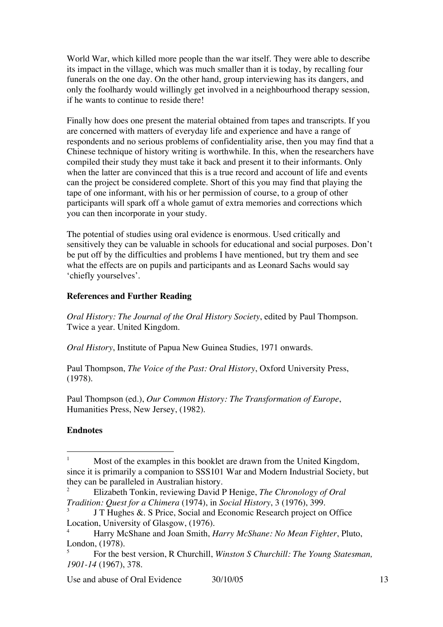World War, which killed more people than the war itself. They were able to describe its impact in the village, which was much smaller than it is today, by recalling four funerals on the one day. On the other hand, group interviewing has its dangers, and only the foolhardy would willingly get involved in a neighbourhood therapy session, if he wants to continue to reside there!

Finally how does one present the material obtained from tapes and transcripts. If you are concerned with matters of everyday life and experience and have a range of respondents and no serious problems of confidentiality arise, then you may find that a Chinese technique of history writing is worthwhile. In this, when the researchers have compiled their study they must take it back and present it to their informants. Only when the latter are convinced that this is a true record and account of life and events can the project be considered complete. Short of this you may find that playing the tape of one informant, with his or her permission of course, to a group of other participants will spark off a whole gamut of extra memories and corrections which you can then incorporate in your study.

The potential of studies using oral evidence is enormous. Used critically and sensitively they can be valuable in schools for educational and social purposes. Don't be put off by the difficulties and problems I have mentioned, but try them and see what the effects are on pupils and participants and as Leonard Sachs would say 'chiefly yourselves'.

## **References and Further Reading**

*Oral History: The Journal of the Oral History Society*, edited by Paul Thompson. Twice a year. United Kingdom.

*Oral History*, Institute of Papua New Guinea Studies, 1971 onwards.

Paul Thompson, *The Voice of the Past: Oral History*, Oxford University Press, (1978).

Paul Thompson (ed.), *Our Common History: The Transformation of Europe*, Humanities Press, New Jersey, (1982).

# **Endnotes**

<sup>&</sup>lt;sup>1</sup> Most of the examples in this booklet are drawn from the United Kingdom, since it is primarily a companion to SSS101 War and Modern Industrial Society, but they can be paralleled in Australian history.<br><sup>2</sup> Elizabeth Tonkin, reviewing David I

<sup>2</sup> Elizabeth Tonkin, reviewing David P Henige, *The Chronology of Oral Tradition: Quest for a Chimera* (1974), in *Social History*, 3 (1976), 399.

<sup>3</sup> J T Hughes &. S Price, Social and Economic Research project on Office Location, University of Glasgow, (1976).

<sup>4</sup> Harry McShane and Joan Smith, *Harry McShane: No Mean Fighter*, Pluto, London, (1978).

<sup>5</sup> For the best version, R Churchill, *Winston S Churchill: The Young Statesman, 1901-14* (1967), 378.